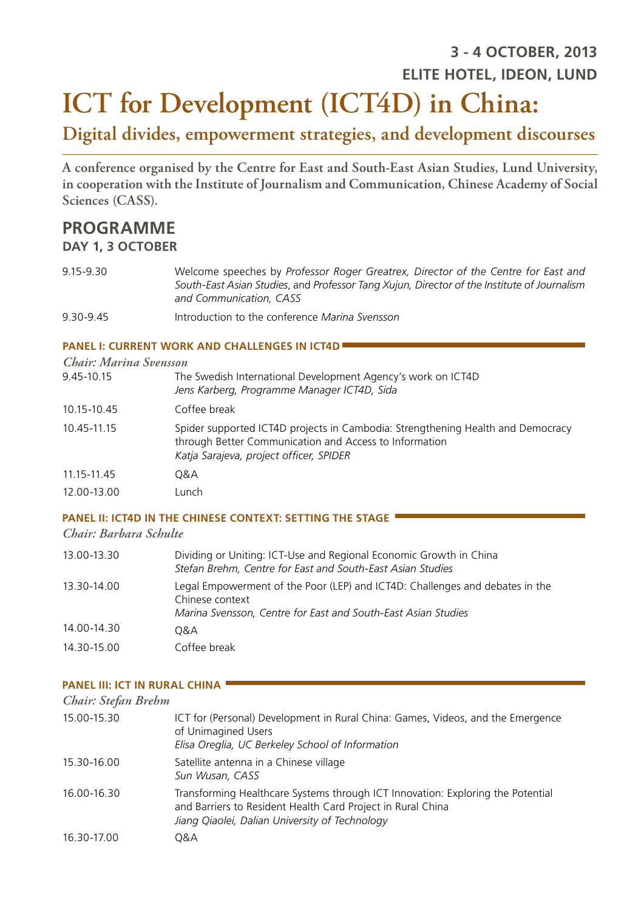# **ICT for Development (ICT4D) in China: 3 - 4 OCTOBER, 2013 ELITE HOTEL, IDEON, LUND**

## **Digital divides, empowerment strategies, and development discourses**

**A conference organised by the Centre for East and South-East Asian Studies, Lund University, in cooperation with the Institute of Journalism and Communication, Chinese Academy of Social Sciences (CASS).**

### **PROGRAMME**

#### **DAY 1, 3 OCTOBER**

- 9.15-9.30 Welcome speeches by *Professor Roger Greatrex, Director of the Centre for East and South-East Asian Studies*, and *Professor Tang Xujun, Director of the Institute of Journalism and Communication, CASS*
- 9.30-9.45 Introduction to the conference *Marina Svensson*

#### **PANEL I: CURRENT WORK AND CHALLENGES IN ICT4D**

| Chair: Marina Svensson |                                                                                                                                                                                      |
|------------------------|--------------------------------------------------------------------------------------------------------------------------------------------------------------------------------------|
| 9.45-10.15             | The Swedish International Development Agency's work on ICT4D<br>Jens Karberg, Programme Manager ICT4D, Sida                                                                          |
| 10.15-10.45            | Coffee break                                                                                                                                                                         |
| 10.45-11.15            | Spider supported ICT4D projects in Cambodia: Strengthening Health and Democracy<br>through Better Communication and Access to Information<br>Katja Sarajeva, project officer, SPIDER |
| 11.15-11.45            | 0&A                                                                                                                                                                                  |
| 12.00-13.00            | Lunch                                                                                                                                                                                |

#### **PANEL II: ICT4D IN THE CHINESE CONTEXT: SETTING THE STAGE**

#### *Chair: Barbara Schulte*

| 13.00-13.30 | Dividing or Uniting: ICT-Use and Regional Economic Growth in China<br>Stefan Brehm, Centre for East and South-East Asian Studies                                 |
|-------------|------------------------------------------------------------------------------------------------------------------------------------------------------------------|
| 13.30-14.00 | Legal Empowerment of the Poor (LEP) and ICT4D: Challenges and debates in the<br>Chinese context<br>Marina Svensson, Centre for East and South-East Asian Studies |
| 14.00-14.30 | 0&A                                                                                                                                                              |
| 14.30-15.00 | Coffee break                                                                                                                                                     |

#### **PANEL III: ICT IN RURAL CHINA**

| Chair: Stefan Brehm |                                                                                                                                                                                                  |
|---------------------|--------------------------------------------------------------------------------------------------------------------------------------------------------------------------------------------------|
| 15.00-15.30         | ICT for (Personal) Development in Rural China: Games, Videos, and the Emergence<br>of Unimagined Users<br>Elisa Oreglia, UC Berkeley School of Information                                       |
| 15.30-16.00         | Satellite antenna in a Chinese village<br>Sun Wusan, CASS                                                                                                                                        |
| 16.00-16.30         | Transforming Healthcare Systems through ICT Innovation: Exploring the Potential<br>and Barriers to Resident Health Card Project in Rural China<br>Jiang Qiaolei, Dalian University of Technology |
| 16.30-17.00         | 0&A                                                                                                                                                                                              |